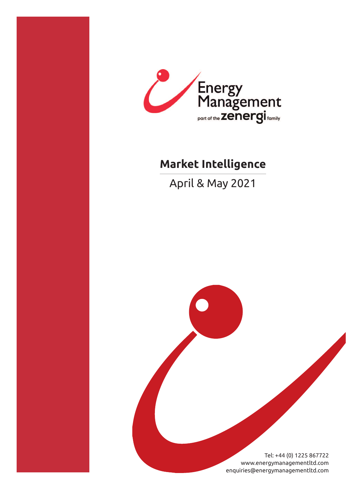

# **Market Intelligence**

April & May 2021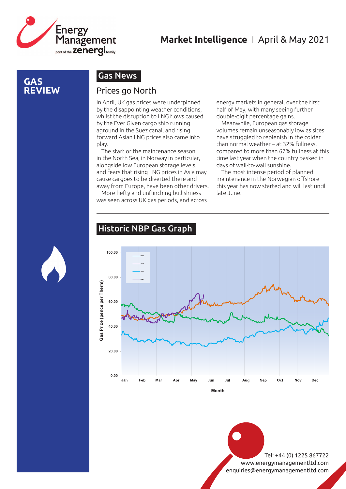

#### **GAS REVIEW**

#### Gas News

#### Prices go North

In April, UK gas prices were underpinned by the disappointing weather conditions, whilst the disruption to LNG flows caused by the Ever Given cargo ship running aground in the Suez canal, and rising forward Asian LNG prices also came into play.

The start of the maintenance season in the North Sea, in Norway in particular, alongside low European storage levels, and fears that rising LNG prices in Asia may cause cargoes to be diverted there and away from Europe, have been other drivers.

More hefty and unflinching bullishness was seen across UK gas periods, and across

energy markets in general, over the first half of May, with many seeing further double-digit percentage gains.

Meanwhile, European gas storage volumes remain unseasonably low as sites have struggled to replenish in the colder than normal weather – at 32% fullness, compared to more than 67% fullness at this time last year when the country basked in days of wall-to-wall sunshine.

The most intense period of planned maintenance in the Norwegian offshore this year has now started and will last until late June.

#### Historic NBP Gas Graph

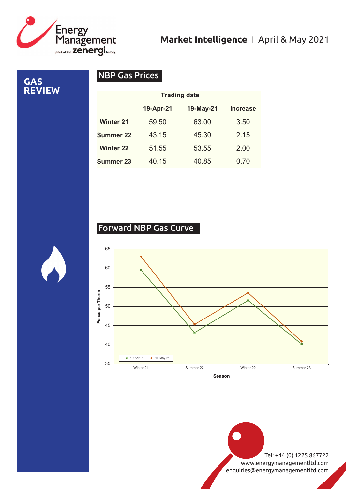

**GAS REVIEW**

## NBP Gas Prices

|                  | <b>Trading date</b> |           |                 |  |  |
|------------------|---------------------|-----------|-----------------|--|--|
|                  | 19-Apr-21           | 19-May-21 | <b>Increase</b> |  |  |
| <b>Winter 21</b> | 59.50               | 63.00     | 3.50            |  |  |
| <b>Summer 22</b> | 43.15               | 45.30     | 2.15            |  |  |
| <b>Winter 22</b> | 51.55               | 53.55     | 2.00            |  |  |
| <b>Summer 23</b> | 40.15               | 40.85     | 0.70            |  |  |

## Forward NBP Gas Curve

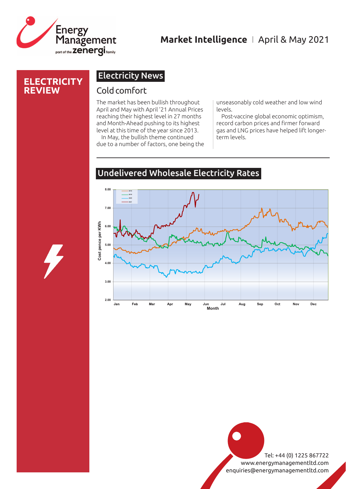

#### **ELECTRICITY REVIEW**

### Electricity News

#### Cold comfort

The market has been bullish throughout April and May with April '21 Annual Prices reaching their highest level in 27 months and Month-Ahead pushing to its highest level at this time of the year since 2013.

In May, the bullish theme continued due to a number of factors, one being the unseasonably cold weather and low wind levels.

Post-vaccine global economic optimism, record carbon prices and firmer forward gas and LNG prices have helped lift longerterm levels.

#### Undelivered Wholesale Electricity Rates

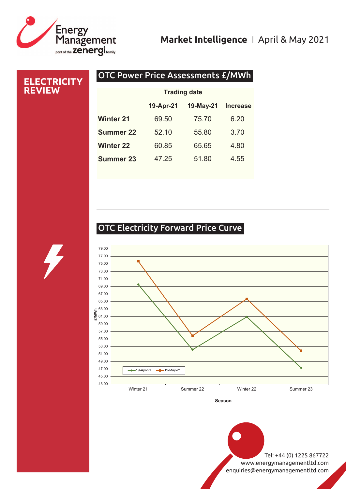

**ELECTR REVIEW**

## **Market Intelligence** I April & May 2021

| <b>ICITY</b> | <b>OTC Power Price Assessments £/MWh</b> |           |           |                 |  |
|--------------|------------------------------------------|-----------|-----------|-----------------|--|
|              | <b>Trading date</b>                      |           |           |                 |  |
|              |                                          | 19-Apr-21 | 19-May-21 | <b>Increase</b> |  |
|              | <b>Winter 21</b>                         | 69.50     | 75.70     | 6.20            |  |
|              | <b>Summer 22</b>                         | 52.10     | 55.80     | 3.70            |  |
|              | <b>Winter 22</b>                         | 60.85     | 65.65     | 4.80            |  |
|              | <b>Summer 23</b>                         | 47.25     | 51.80     | 4.55            |  |

## OTC Electricity Forward Price Curve



**Season**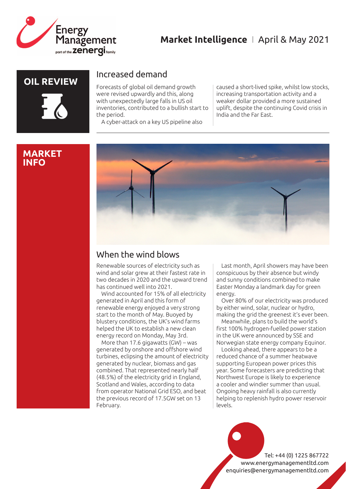

## **OIL REVIEW**

#### **MARKET INFO**

#### Increased demand

Forecasts of global oil demand growth were revised upwardly and this, along with unexpectedly large falls in US oil inventories, contributed to a bullish start to the period.

A cyber-attack on a key US pipeline also

caused a short-lived spike, whilst low stocks, increasing transportation activity and a weaker dollar provided a more sustained uplift, despite the continuing Covid crisis in India and the Far East.



## When the wind blows

Renewable sources of electricity such as wind and solar grew at their fastest rate in two decades in 2020 and the upward trend has continued well into 2021.

Wind accounted for 15% of all electricity generated in April and this form of renewable energy enjoyed a very strong start to the month of May. Buoyed by blustery conditions, the UK's wind farms helped the UK to establish a new clean energy record on Monday, May 3rd.

More than 17.6 gigawatts (GW) – was generated by onshore and offshore wind turbines, eclipsing the amount of electricity generated by nuclear, biomass and gas combined. That represented nearly half (48.5%) of the electricity grid in England, Scotland and Wales, according to data from operator National Grid ESO, and beat the previous record of 17.5GW set on 13 February.

Last month, April showers may have been conspicuous by their absence but windy and sunny conditions combined to make Easter Monday a landmark day for green energy.

Over 80% of our electricity was produced by either wind, solar, nuclear or hydro, making the grid the greenest it's ever been.

Meanwhile, plans to build the world's first 100% hydrogen-fuelled power station in the UK were announced by SSE and Norwegian state energy company Equinor.

Looking ahead, there appears to be a reduced chance of a summer heatwave supporting European power prices this year. Some forecasters are predicting that Northwest Europe is likely to experience a cooler and windier summer than usual. Ongoing heavy rainfall is also currently helping to replenish hydro power reservoir levels.